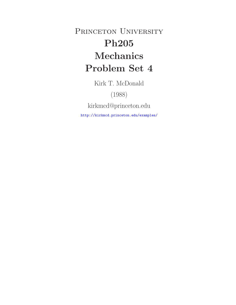PRINCETON UNIVERSITY **Ph205 Mechanics Problem Set 4**

Kirk T. McDonald

(1988)

kirkmcd@princeton.edu

http://kirkmcd.princeton.edu/examples/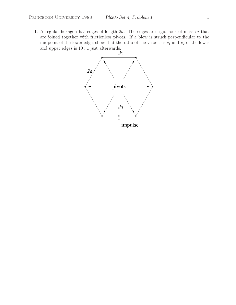1. A regular hexagon has edges of length  $2a$ . The edges are rigid rods of mass m that are joined together with frictionless pivots. If a blow is struck perpendicular to the midpoint of the lower edge, show that the ratio of the velocities  $v_1$  and  $v_2$  of the lower and upper edges is 10 : 1 just afterwards.

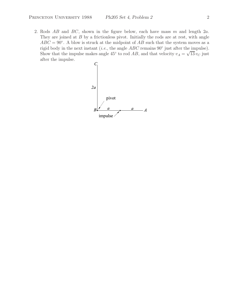2. Rods  $AB$  and  $BC$ , shown in the figure below, each have mass m and length  $2a$ . They are joined at  $B$  by a frictionless pivot. Initially the rods are at rest, with angle  $ABC = 90°$ . A blow is struck at the midpoint of AB such that the system moves as a rigid body in the next instant (*i.e.*, the angle  $ABC$  remains  $90°$  just after the impulse). Show that the impulse makes angle 45° to rod  $AB$ , and that velocity  $v_A = \sqrt{13} v_C$  just after the impulse.

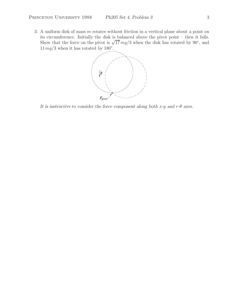3. A uniform disk of mass m rotates without friction in a vertical plane about a point on its circumference. Initially the disk is balanced above the pivot point – then it falls. Show that the force on the pivot is  $\sqrt{17} mg/3$  when the disk has rotated by 90°, and  $11 mg/3$  when it has rotated by 180°.



*It is instructive to consider the force component along both* x*-*y *and* r*-*θ *axes.*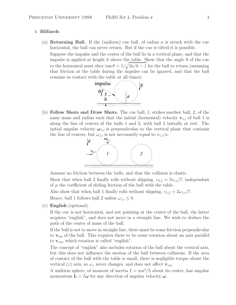## 4. **Billiards**

(a) **Returning Ball.** If the (uniform) cue ball, of radius a is struck with the cue horizontal, the ball can never return. But if the cue is tilted it is possible.

Suppose the impulse and the center of the ball lie in a vertical plane, and that the impulse is applied at height h above the table. Show that the angle  $\theta$  of the cue to the horizontal must obey  $\tan \theta > 1/\sqrt{2a/h - 1}$  for the ball to return (assuming that friction at the table during the impulse can be ignored, and that the ball remains in contact with the table at all times).



(b) **Follow Shots and Draw Shots.** The cue ball, 1, strikes another ball, 2, of the same mass and radius such that the initial (horizontal) velocity  $\mathbf{v}_{1,i}$  of ball 1 is along the line of centers of the balls 1 and 2, with ball 2 initially at rest. The initial angular velocity  $\omega_{1,i}$  is perpendicular to the vertical plane that contains the line of centers, but  $\omega_{1,i}$  is not necessarily equal to  $v_{1,i}/a$ .



Assume no friction between the balls, and that the collision is elastic.

Show that when ball 2 finally rolls without slipping,  $v_{2,f} = 5v_{1,i}/7$ , independent of  $\mu$  the coefficient of sliding friction of the ball with the table.

Also show that when ball 1 finally rolls without slipping,  $v_{1,f} = 2\omega_{1,i}/7$ . Hence, ball 1 follows ball 2 unless  $\omega_{1,i} \leq 0$ .

(c) **English** (optional).

If the cue is not horizontal, and not pointing at the center of the ball, the latter acquires "english", and does not move in a straight line. We wish to deduce the path of the center of mass of the ball.

If the ball is not to move in straight line, there must be some friction perpendicular to **v**<sub>cm</sub> of the ball. This requires there to be some rotation about an axis parallel to  $\mathbf{v}_{\rm cm}$ , which rotation is called "english".

The concept of "english" also includes rotation of the ball about the vertical axis, but this does not influence the motion of the ball between collisions. If the area of contact of the ball with the table is small, there is negligible torque about the vertical (*z*) axis, so  $\omega_z$  never changes, and does not affect  $\mathbf{v}_{cm}$ .

A uniform sphere, of moment of inertia  $I = ma^2/5$  about its center, has angular momentum  $\mathbf{L} = I\boldsymbol{\omega}$  for any direction of angular velocity  $\boldsymbol{\omega}$ .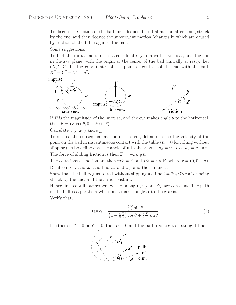To discuss the motion of the ball, first deduce its initial motion after being struck by the cue, and then deduce the subsequent motion (changes in which are caused by friction of the table against the ball.

Some suggestions:

To find the initial motion, use a coordinate system with z vertical, and the cue in the  $x-x$  plane, with the origin at the center of the ball (initially at rest). Let  $(X, Y, Z)$  be the coordinates of the point of contact of the cue with the ball,  $X^2 + Y^2 + Z^2 = a^2$ .



If P is the magnitude of the impulse, and the cue makes angle  $\theta$  to the horizontal, then  $\mathbf{P} = (P \cos \theta, 0, -P \sin \theta).$ 

Calculate  $v_{x,i}$ ,  $\omega_{x,i}$  and  $\omega_{y_i}$ .

To discuss the subsequent motion of the ball, define **u** to be the velocity of the point on the ball in instantaneous contact with the table  $(\mathbf{u} = 0)$  for rolling without slipping). Also define  $\alpha$  as the angle of **u** to the x-axis:  $u_x = u \cos \alpha$ ,  $u_y = u \sin \alpha$ . The force of sliding friction is then  $\mathbf{F} = -\mu mg \hat{\mathbf{u}}$ .

The equations of motion are then  $m\dot{\mathbf{v}} = \mathbf{F}$  and  $I\dot{\boldsymbol{\omega}} = \mathbf{r} \times \mathbf{F}$ , where  $\mathbf{r} = (0, 0, -a)$ . Relate **u** to **v** and  $\boldsymbol{\omega}$ , and find  $\dot{u}_x$  and  $\dot{u}_y$ , and then **u** and  $\dot{\alpha}$ .

Show that the ball begins to roll without slipping at time  $t = 2u_i/7\mu g$  after being struck by the cue, and that  $\alpha$  is constant.

Hence, in a coordinate system with  $x'$  along  $\mathbf{u}, v_{y'}$  and  $\dot{v}_{x'}$  are constant. The path of the ball is a parabola whose axis makes angle  $\alpha$  to the x-axis. Verify that,

$$
\tan \alpha = \frac{-\frac{5}{2}\frac{Y}{a}\sin\theta}{\left(1 + \frac{5}{2}\frac{Z}{a}\right)\cos\theta + \frac{5}{2}\frac{X}{a}\sin\theta}.
$$
\n(1)

If either  $\sin \theta = 0$  or  $Y = 0$ , then  $\alpha = 0$  and the path reduces to a straight line.

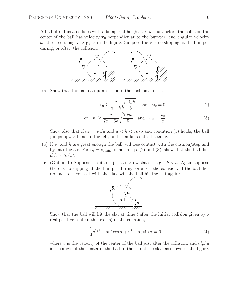5. A ball of radius a collides with a **bumper** of height  $h < a$ . Just before the collision the center of the ball has velocity  $\mathbf{v}_0$  perpendicular to the bumper, and angular velocity  $\omega_0$  directed along  $\mathbf{v}_0 \times \mathbf{g}$ , as in the figure. Suppose there is no slipping at the bumper during, or after, the collision.



(a) Show that the ball can jump up onto the cushion/step if,

$$
v_0 \ge \frac{a}{a-h} \sqrt{\frac{14gh}{5}} \quad \text{and} \quad \omega_0 = 0,\tag{2}
$$

$$
\text{or} \quad v_0 \ge \frac{a}{7a - 5h} \sqrt{\frac{70gh}{5}} \quad \text{and} \quad \omega_0 = \frac{v_0}{a} \,. \tag{3}
$$

Show also that if  $\omega_0 = v_0/a$  and  $a < h < 7a/5$  and condition (3) holds, the ball jumps upward and to the left, and then falls onto the table.

- (b) If  $v_0$  and h are great enough the ball will lose contact with the cushion/step and fly into the air. For  $v_0 = v_{0,\text{min}}$  found in eqs. (2) and (3), show that the ball flies if  $h \geq 7a/17$ .
- (c) (Optional.) Suppose the step is just a narrow slat of height  $h < a$ . Again suppose there is no slipping at the bumper during, or after, the collision. If the ball flies up and loses contact with the slat, will the ball hit the slat again?



Show that the ball will hit the slat at time  $t$  after the initial collision given by a real positive root (if this exists) of the equation,

$$
\frac{1}{4}g^2t^2 - gvt\cos\alpha + v^2 - ag\sin\alpha = 0,
$$
\n(4)

where  $v$  is the velocity of the center of the ball just after the collision, and  $alpha$ is the angle of the center of the ball to the top of the slat, as shown in the figure.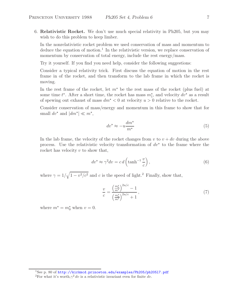6. **Relativistic Rocket.** We don't use much special relativity in Ph205, but you may wish to do this problem to keep limber.

In the nonrelativistic rocket problem we used conservation of mass and momentum to deduce the equation of motion.<sup>1</sup> In the relativistic version, we replace conservation of momentum by conservation of total energy, include the rest energy/mass.

Try it yourself. If you find you need help, consider the following suggestions:

Consider a typical relativity trick. First discuss the equation of motion in the rest frame in of the rocket, and then transform to the lab frame in which the rocket is moving.

In the rest frame of the rocket, let  $m^*$  be the rest mass of the rocket (plus fuel) at some time  $t^*$ . After a short time, the rocket has mass  $m_1^*$ , and velocity  $dv^*$  as a result of spewing out exhaust of mass  $dm^* < 0$  at velocity  $u > 0$  relative to the rocket.

Consider conservation of mass/energy and momentum in this frame to show that for small  $dv^*$  and  $|dm^*| \ll m^*$ ,

$$
dv^* \approx -u \frac{dm^*}{m^*} \tag{5}
$$

In the lab frame, the velocity of the rocket changes from v to  $v + dv$  during the above process. Use the relativistic velocity transformation of  $dv^*$  to the frame where the rocket has velocity  $v$  to show that,

$$
dv^* \approx \gamma^2 dv = c d \left( \tanh^{-1} \frac{v}{c} \right),\tag{6}
$$

where  $\gamma = 1/\sqrt{1 - v^2/c^2}$  and c is the speed of light.<sup>2</sup> Finally, show that,

$$
\frac{v}{c} = \frac{\left(\frac{m_0^{\star}}{m^{\star}}\right)^{2u/c} - 1}{\left(\frac{m_0^{\star}}{m^{\star}}\right)^{2u/c} + 1},\tag{7}
$$

where  $m^* = m_0^*$  when  $v = 0$ .

<sup>&</sup>lt;sup>1</sup>See p. 80 of http://kirkmcd.princeton.edu/examples/Ph205/ph20517.pdf

<sup>&</sup>lt;sup>2</sup>For what it's worth, $\gamma^2 dv$  is a relativistic invariant even for finite dv.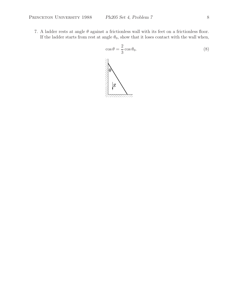7. A ladder rests at angle  $\theta$  against a frictionless wall with its feet on a frictionless floor. If the ladder starts from rest at angle  $\theta_0$ , show that it loses contact with the wall when,

$$
\cos \theta = \frac{2}{3} \cos \theta_0.
$$
\n(8)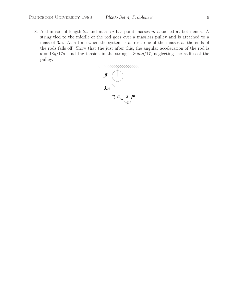8. A thin rod of length 2a and mass m has point masses m attached at both ends. A string tied to the middle of the rod goes over a massless pulley and is attached to a mass of 3m. At a time when the system is at rest, one of the masses at the ends of the rods falls off. Show that the just after this, the angular acceleration of the rod is  $\ddot{\theta} = 18g/17a$ , and the tension in the string is 30mg/17, neglecting the radius of the pulley.

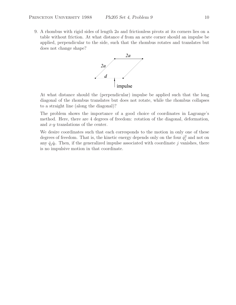9. A rhombus with rigid sides of length 2a and frictionless pivots at its corners lies on a table without friction. At what distance d from an acute corner should an impulse be applied, perpendicular to the side, such that the rhombus rotates and translates but does not change shape?



At what distance should the (perpendicular) impulse be applied such that the long diagonal of the rhombus translates but does not rotate, while the rhombus collapses to a straight line (along the diagonal)?

The problem shows the importance of a good choice of coordinates in Lagrange's method. Here, there are 4 degrees of freedom: rotation of the diagonal, deformation, and  $x-y$  translations of the center.

We desire coordinates such that each corresponds to the motion in only one of these degrees of freedom. That is, the kinetic energy depends only on the four  $\dot{q}_j^2$  and not on any  $\dot{q}_i\dot{q}_l$ . Then, if the generalized impulse associated with coordinate j vanishes, there is no impulsive motion in that coordinate.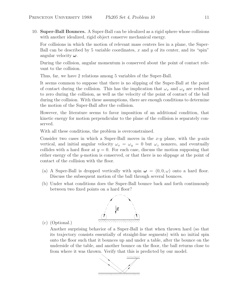10. **Super-Ball Bounces.** A Super-Ball can be idealized as a rigid sphere whose collisions with another idealized, rigid object conserve mechanical energy.

For collisions in which the motion of relevant mass centers lies in a plane, the Super-Ball can be described by 5 variable coordinates, x and y of its center, and its "spin" angular velocity *ω*.

During the collision, angular momentum is conserved about the point of contact relevant to the collision.

Thus, far, we have 2 relations among 5 variables of the Super-Ball.

It seems common to suppose that there is no slipping of the Super-Ball at the point of contact during the collision. This has the implication that  $\omega_x$  and  $\omega_y$  are reduced to zero during the collision, as well as the velocity of the point of contact of the ball during the collision. With these assumptions, there are enough conditions to determine the motion of the Super-Ball after the collision.

However, the literature seems to favor imposition of an additional condition, that kinetic energy for motion perpendicular to the plane of the collision is separately conserved.

With all these conditions, the problem is overconstrained.

Consider two cases in which a Super-Ball moves in the x-y plane, with the y-axis vertical, and initial angular velocity  $\omega_x = \omega_y = 0$  but  $\omega_z$  nonzero, and eventually collides with a hard floor at  $y = 0$ . For each case, discuss the motion supposing that either energy of the y-motion is conserved, or that there is no slippage at the point of contact of the collision with the floor.

- (a) A Super-Ball is dropped vertically with spin  $\omega = (0, 0, \omega)$  onto a hard floor. Discuss the subsequent motion of the ball through several bounces.
- (b) Under what conditions does the Super-Ball bounce back and forth continuously between two fixed points on a hard floor?



(c) (Optional.)

Another surprising behavior of a Super-Ball is that when thrown hard (so that its trajectory consists essentially of straight-line segments) with no initial spin onto the floor such that it bounces up and under a table, after the bounce on the underside of the table, and another bounce on the floor, the ball returns close to from where it was thrown. Verify that this is predicted by our model.

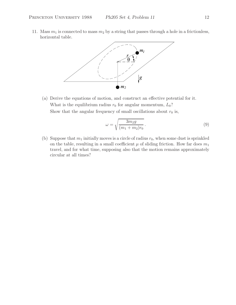11. Mass  $m_1$  is connected to mass  $m_2$  by a string that passes through a hole in a frictionless, horizontal table.



(a) Derive the equations of motion, and construct an effective potential for it. What is the equilibrium radius  $r_0$  for angular momentum,  $L_0$ ? Show that the angular frequency of small oscillations about  $r_0$  is,

$$
\omega = \sqrt{\frac{3m_2g}{(m_1 + m_2)r_0}}.
$$
\n(9)

(b) Suppose that  $m_1$  initially moves is a circle of radius  $r_0$ , when some dust is sprinkled on the table, resulting in a small coefficient  $\mu$  of sliding friction. How far does  $m_1$ travel, and for what time, supposing also that the motion remains approximately circular at all times?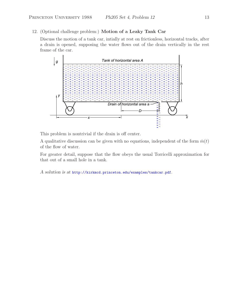# 12. (Optional challenge problem:) **Motion of a Leaky Tank Car**

Discuss the motion of a tank car, intially at rest on frictionless, horizontal tracks, after a drain is opened, supposing the water flows out of the drain vertically in the rest frame of the car.



This problem is nontrivial if the drain is off center.

A qualitative discussion can be given with no equations, independent of the form  $\dot{m}(t)$ of the flow of water.

For greater detail, suppose that the flow obeys the usual Torricelli approximation for that out of a small hole in a tank.

*A solution is at* http://kirkmcd.princeton.edu/examples/tankcar.pdf.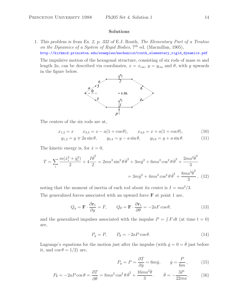## **Solutions**

1. *This problem is from Ex. 2, p. 332 of* E.J. Routh, The Elementary Part of a Treatise on the Dynamics of a System of Rigid Bodies,  $7<sup>th</sup>$  ed. (Macmillan, 1905), http://kirkmcd.princeton.edu/examples/mechanics/routh\_elementary\_rigid\_dynamics.pdf

The impulsive motion of the hexagonal structure, consisting of six rods of mass  $m$  and length 2a, can be described via coordinates,  $x = x_{cm}$ ,  $y = y_{cm}$  and  $\theta$ , with y upwards in the figure below.



The centers of the six rods are at,

$$
x_{1,2} = x \qquad x_{3,5} = x - a(1 + \cos \theta), \qquad x_{4,6} = x + a(1 + \cos \theta), \tag{10}
$$

$$
y_{1,2} = y \mp 2a \sin \theta,
$$
  $y_{3,4} = y - a \sin \theta,$   $y_{5,6} = y + a \sin \theta.$  (11)

The kinetic energy is, for  $\dot{x} = 0$ ,

$$
T = \sum_{i} \frac{m(\dot{x}_i^2 + \dot{y}_i^2)}{2} + 4\frac{I\dot{\theta}^2}{2} = 2ma^2\sin^2\theta\,\dot{\theta}^2 + 3m\dot{y}^2 + 6ma^2\cos^2\theta\,\dot{\theta}^2 + \frac{2ma^2\dot{\theta}^2}{3}
$$

$$
= 3m\dot{y}^2 + 4ma^2\cos^2\theta\,\dot{\theta}^2 + \frac{8ma^2\dot{\theta}^2}{3}, \tag{12}
$$

noting that the moment of inertia of each rod about its center is  $I = ma^2/3$ . The generalized forces associated with an upward force **F** at point 1 are,

$$
Q_y = \mathbf{F} \cdot \frac{\partial \mathbf{r}_1}{\partial y} = F, \qquad Q_\theta = \mathbf{F} \cdot \frac{\partial \mathbf{r}_1}{\partial \theta} = -2aF\cos\theta,\tag{13}
$$

and the generalized impulses associated with the impulse  $P = \int F dt$  (at time  $t = 0$ ) are,

$$
P_y = P, \qquad P_\theta = -2aP\cos\theta. \tag{14}
$$

Lagrange's equations for the motion just after the impulse (with  $\dot{y} = 0 = \dot{\theta}$  just before it, and  $\cos \theta = 1/2$  are,

$$
P_y = P = \frac{\partial T}{\partial \dot{y}} = 6m\dot{y}, \qquad \dot{y} = \frac{P}{6m}, \qquad (15)
$$

$$
P_{\theta} = -2aP\cos\theta = \frac{\partial T}{\partial \dot{\theta}} = 8ma^2\cos^2\theta\,\dot{\theta}^2 + \frac{16ma^2\dot{\theta}}{3}.\qquad \dot{\theta} = -\frac{3P}{22ma}.\tag{16}
$$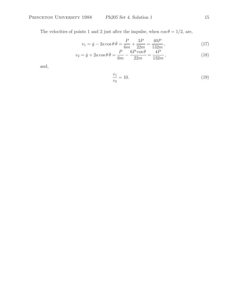The velocities of points 1 and 2 just after the impulse, when  $\cos \theta = 1/2$ , are,

$$
v_1 = \dot{y} - 2a\cos\theta \,\dot{\theta} = \frac{P}{6m} + \frac{3P}{22m} = \frac{40P}{132m},\tag{17}
$$

$$
v_2 = \dot{y} + 2a\cos\theta \dot{\theta} = \frac{P}{6m} - \frac{6P\cos\theta}{22m} = \frac{4P}{132m},
$$
\n(18)

and,

$$
\frac{v_1}{v_2} = 10.\t(19)
$$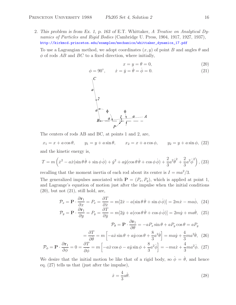2. *This problem is from Ex. 1, p. 163 of* E.T. Whittaker, A Treatise on Analytical Dynamics of Particles and Rigid Bodies (Cambridge U. Press, 1904, 1917, 1927, 1937), http://kirkmcd.princeton.edu/examples/mechanics/whittaker\_dynamics\_17.pdf

To use a Lagrangian method, we adopt coordinates  $(x, y)$  of point B and angles  $\theta$  and  $\phi$  of rods AB and BC to a fixed direction, where initially,

$$
x = y = \theta = 0,\tag{20}
$$

$$
\phi = 90^{\circ}, \qquad \dot{x} = \dot{y} = \dot{\theta} = \dot{\phi} = 0.
$$
\n(21)



The centers of rods AB and BC, at points 1 and 2, are,

 $\partial T$ 

 $x_1 = x + a \cos \theta,$   $y_1 = y + a \sin \theta,$   $x_2 = x + a \cos \phi,$   $y_2 = y + a \sin \phi,$  (22) and the kinetic energy is,

$$
T = m\left(\dot{x}^2 - a\dot{x}(\sin\theta\,\dot{\theta} + \sin\phi\,\dot{\phi}) + \dot{y}^2 + a\dot{y}(\cos\theta\,\dot{\theta} + \cos\phi\,\dot{\phi}) + \frac{2}{3}a^2\dot{\theta}^2 + \frac{2}{3}a^2\dot{\phi}^2\right),\,(23)
$$

recalling that the moment inertia of each rod about its center is  $I = ma^2/3$ .

The generalized impulses associated with  $P = (P_x, P_y)$ , which is applied at point 1, and Lagrange's equation of motion just after the impulse when the initial conditions  $(20)$ , but not  $(21)$ , still hold, are,

$$
\mathcal{P}_x = \mathbf{P} \cdot \frac{\partial \mathbf{r}_1}{\partial x} = P_x = \frac{\partial T}{\partial \dot{x}} = m[2\dot{x} - a(\sin\theta \,\dot{\theta} + \sin\phi \,\dot{\phi})] = 2m\dot{x} - ma\dot{\phi}, \tag{24}
$$

$$
\mathcal{P}_y = \mathbf{P} \cdot \frac{\partial \mathbf{r}_1}{\partial y} = P_y = \frac{\partial T}{\partial \dot{y}} = m[2\dot{y} + a(\cos\theta \,\dot{\theta} + \cos\phi \,\dot{\phi})] = 2m\dot{y} + m a\dot{\theta}, \tag{25}
$$

$$
\mathcal{P}_{\theta} = \mathbf{P} \cdot \frac{\partial \mathbf{r}_1}{\partial \theta} = -aP_x \sin \theta + aP_y \cos \theta = aP_y
$$

$$
= m \left[ -a\dot{x} \sin \theta + a\dot{y} \cos \theta + \frac{8}{2} a^2 \dot{\theta} \right] = m a \dot{y} + \frac{4}{2} m a^2 \dot{\theta}, \quad (26)
$$

$$
= \frac{\partial^2 z}{\partial \dot{\theta}} = m \left[ -a\dot{x}\sin\theta + a\dot{y}\cos\theta + \frac{z}{3}a^2\theta \right] = ma\dot{y} + \frac{1}{3}ma^2\theta,\tag{26}
$$

$$
\frac{\partial \mathbf{r}_1}{\partial t} = 0 - \frac{\partial T}{\partial t} = m \left[ -a\dot{x}\cos\phi - a\dot{y}\sin\phi + \frac{8}{3}a^2\dot{\phi} \right] = -ma\dot{x} + \frac{4}{3}ma^2\dot{\phi} \tag{27}
$$

$$
\mathcal{P}_{\phi} = \mathbf{P} \cdot \frac{\partial \mathbf{r}_1}{\partial \phi} = 0 = \frac{\partial T}{\partial \dot{\phi}} = m \left[ -a\dot{x}\cos\phi - a\dot{y}\sin\phi + \frac{8}{3}a^2\dot{\phi} \right] = -ma\dot{x} + \frac{4}{3}ma^2\dot{\phi}.
$$
 (27)

We desire that the initial motion be like that of a rigid body, so  $\dot{\phi} = \dot{\theta}$ , and hence eq. (27) tells us that (just after the impulse),

$$
\dot{x} = \frac{4}{3}a\dot{\theta}.\tag{28}
$$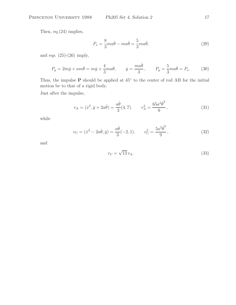Then, eq.(24) implies,

$$
P_x = \frac{8}{3}ma\dot{\theta} - ma\dot{\theta} = \frac{5}{3}ma\dot{\theta},\tag{29}
$$

and eqs.  $(25)-(26)$  imply,

$$
P_y = 2m\dot{y} + am\dot{\theta} = m\dot{y} + \frac{4}{3}m a\dot{\theta}, \qquad \dot{y} = \frac{m a\dot{\theta}}{3}, \qquad P_y = \frac{5}{3}m a\dot{\theta} = P_x. \tag{30}
$$

Thus, the impulse **P** should be applied at 45◦ to the center of rod AB for the initial motion be to that of a rigid body.

Just after the impulse,

$$
v_{A} = (\dot{x}^{2}, \dot{y} + 2a\dot{\theta}) = \frac{a\dot{\theta}}{3}(4, 7). \qquad v_{A}^{2} = \frac{65a^{2}\dot{\theta}^{2}}{9}, \tag{31}
$$

while

$$
v_{\rm C} = (\dot{x}^2 - 2a\dot{\theta}, \dot{y}) = \frac{a\dot{\theta}}{3}(-2, 1), \qquad v_{\rm C}^2 = \frac{5a^2\dot{\theta}^2}{9}, \tag{32}
$$

and

$$
v_{\rm C} = \sqrt{13} v_{\rm A}.\tag{33}
$$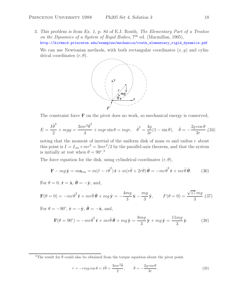3. *This problem is from Ex. 1, p. 84 of* E.J. Routh, The Elementary Part of a Treatise on the Dynamics of a System of Rigid Bodies,  $7<sup>th</sup>$  ed. (Macmillan, 1905), http://kirkmcd.princeton.edu/examples/mechanics/routh\_elementary\_rigid\_dynamics.pdf

We can use Newtonian methods, with both rectangular coordinates  $(x, y)$  and cylindrical coordinates  $(r, \theta)$ .



The constraint force **F** on the pivot does no work, so mechanical energy is conserved,

$$
E = \frac{I\dot{\theta}^2}{2} + mgy = \frac{3mr^2\dot{\theta}^2}{4} + mgr\sin\theta = mgr, \quad \dot{\theta}^2 = \frac{4g}{3r}(1 - \sin\theta), \quad \ddot{\theta} = -\frac{2g\cos\theta}{3r}, (34)
$$

noting that the moment of inertial of the uniform disk of mass  $m$  and radius  $r$  about this point is  $I = I_{cm} + mr^2 = 3mr^2/2$  by the parallel-axis theorem, and that the system is initially at rest when  $\theta = 90^{\circ}.^3$ 

The force equation for the disk, using cylindrical coordinates  $(r, \theta)$ ,

$$
\mathbf{F} - mg\,\hat{\mathbf{y}} = m\mathbf{a}_{\rm cm} = m(\ddot{r} - r\dot{\theta}^2)\,\hat{\mathbf{r}} + m(r\ddot{\theta} + 2\dot{r}\dot{\theta})\,\hat{\boldsymbol{\theta}} = -mr\dot{\theta}^2\,\hat{\mathbf{r}} + mr\ddot{\theta}\,\hat{\boldsymbol{\theta}}.\tag{36}
$$

For  $\theta = 0$ ,  $\hat{\mathbf{r}} = \hat{\mathbf{x}}$ ,  $\hat{\boldsymbol{\theta}} = -\hat{\mathbf{y}}$ , and,

$$
\mathbf{F}(\theta=0) = -mr\dot{\theta}^2\,\hat{\mathbf{r}} + mr\ddot{\theta}\,\hat{\theta} + mg\,\hat{\mathbf{y}} = -\frac{4mg}{3}\,\hat{\mathbf{x}} - \frac{mg}{3}\,\hat{\mathbf{y}}, \qquad F(\theta=0) = \frac{\sqrt{17}\,mg}{3} \tag{37}
$$

For  $\theta = -90^{\circ}$ ,  $\hat{\mathbf{r}} = -\hat{\mathbf{y}}$ ,  $\hat{\boldsymbol{\theta}} = -\hat{\mathbf{x}}$ , and,

$$
\mathbf{F}(\theta = 90^{\circ}) = -mr\dot{\theta}^{2}\hat{\mathbf{r}} + mr\ddot{\theta}\hat{\theta} + mg\hat{\mathbf{y}} = \frac{8mg}{3}\hat{\mathbf{y}} + mg\hat{\mathbf{y}} = \frac{11mg}{3}\hat{\mathbf{y}}.
$$
 (38)

$$
\tau = -rmg\cos\theta = I\ddot{\theta} = \frac{3mr^2\ddot{\theta}}{2}, \qquad \ddot{\theta} = -\frac{2g\cos\theta}{3r}.
$$
\n(35)

<sup>&</sup>lt;sup>3</sup>The result for  $\ddot{\theta}$  could also be obtained from the torque equation about the pivot point.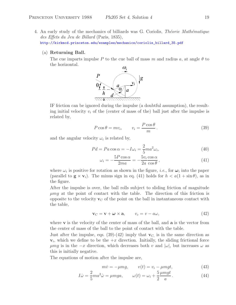4. An early study of the mechanics of billiards was G. Coriolis, *Théorie Mathématique* des Effets du Jeu de Billard (Paris, 1835), http://kirkmcd.princeton.edu/examples/mechanics/coriolis\_billard\_35.pdf

#### (a) **Returning Ball.**

The cue imparts impulse P to the cue ball of mass m and radius a, at angle  $\theta$  to the horizontal.



IF friction can be ignored during the impulse (a doubtful assumption), the resulting initial velocity  $v_i$  of the (center of mass of the) ball just after the impulse is related by,

$$
P\cos\theta = mv_i, \qquad v_i = \frac{P\cos\theta}{m}.
$$
\n(39)

and the angular velocity  $\omega_i$  is related by,

$$
Pd = Pa\cos\alpha = -I\omega_i = \frac{2}{5}ma^2\omega_i,
$$
\n(40)

$$
\omega_i = -\frac{5P\cos\alpha}{2ma} = -\frac{5v_i\cos\alpha}{2a\cos\theta},\qquad(41)
$$

where  $\omega_i$  is positive for rotation as shown in the figure, *i.e.*, for  $\omega_i$  into the paper (parallel to  $\mathbf{g} \times \mathbf{v}_i$ ). The minus sign in eq. (41) holds for  $h < a(1 + \sin \theta)$ , as in the figure.

After the impulse is over, the ball rolls subject to sliding friction of magnitude  $\mu$ mg at the point of contact with the table. The direction of this friction is opposite to the velocity  $\mathbf{v}_C$  of the point on the ball in instantaneous contact with the table,

$$
\mathbf{v}_C = \mathbf{v} + \boldsymbol{\omega} \times \mathbf{a}, \qquad v_c = v - a\omega,
$$
 (42)

where **v** is the velocity of the center of mass of the ball, and **a** is the vector from the center of mass of the ball to the point of contact with the table.

Just after the impulse, eqs.  $(39)-(42)$  imply that  $\mathbf{v}_C$  is in the same direction as  $v_i$ , which we define to be the  $+x$  direction. Initially, the sliding frictional force  $\mu mg$  is in the  $-x$  direction, which decreases both v and  $|\omega|$ , but increases  $\omega$  as this is initially negative.

The equations of motion after the impulse are,

$$
m\dot{v} = -\mu mg, \qquad v(t) = v_i - \mu mgt,
$$
\n(43)

$$
I\dot{\omega} = \frac{2}{5}ma^2\dot{\omega} = \mu mga, \qquad \omega(t) = \omega_i + \frac{5}{2}\frac{\mu mgt}{a}.
$$
 (44)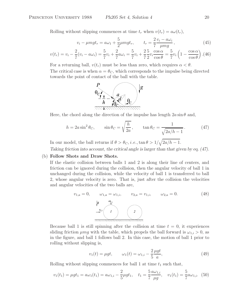Rolling without slipping commences at time  $t_r$  when  $v(t_r) = a\omega(t_r)$ ,

$$
v_i - \mu mgt_r = a\omega_1 + \frac{5}{2}\mu mgt_r, \qquad t_r = \frac{2}{7}\frac{v_i - a\omega_i}{\mu mg},
$$
\n
$$
(45)
$$

$$
v(t_r) = v_i - \frac{2}{7}(v_i - a\omega_i) = \frac{5}{7}v_i + \frac{2}{7}a\omega_i = \frac{5}{7}v_i + \frac{2}{7}\frac{5}{2}v_i\frac{\cos\alpha}{\cos\theta} = \frac{5}{7}v_i\left(1 - \frac{\cos\alpha}{\cos\theta}\right). (46)
$$

For a returning ball,  $v(t_r)$  must be less than zero, which requires  $\alpha < \theta$ .

The critical case is when  $\alpha = \theta_C$ , which corresponds to the impulse being directed towards the point of contact of the ball with the table.



Here, the chord along the direction of the impulse has length  $2a \sin \theta$  and,

$$
h = 2a\sin^2\theta_C, \qquad \sin\theta_C = \sqrt{\frac{h}{2a}}, \qquad \tan\theta_C = \frac{1}{\sqrt{2a/h - 1}}.\tag{47}
$$

In our model, the ball returns if  $\theta > \theta_C$ , *i.e.*,  $\tan \theta > 1/\sqrt{2a/h - 1}$ . *Taking friction into account, the critical angle is larger than that given by eq. (47).*

### (b) **Follow Shots and Draw Shots.**

If the elastic collision between balls 1 and 2 is along their line of centers, and friction can be ignored during the collision, then the angular velocity of ball 1 in unchanged during the collision, while the velocity of ball 1 is transferred to ball 2, whose angular velocity is zero. That is, just after the collision the velocities and angular velocities of the two balls are,

$$
v_{1,a} = 0, \t w_{1,a} = \omega_{1,i}, \t v_{2,a} = v_{1,i}, \t \omega_{2,a} = 0.
$$
 (48)  

$$
\downarrow g \t \downarrow g
$$
 (48)  

$$
\downarrow g \t \downarrow g
$$
 (49)  

$$
\downarrow g
$$
 (49)  

$$
\downarrow g
$$
 (49)

Because ball 1 is still spinning after the collision at time  $t = 0$ , it experiences sliding friction  $\mu mg$  with the table, which propels the ball forward is  $\omega_{1,i} > 0$ , as in the figure, and ball 1 follows ball 2. In this case, the motion of ball 1 prior to rolling without slipping is,

$$
v_1(t) = \mu gt,
$$
  $\omega_1(t) = \omega_{1,i} - \frac{2}{5} \frac{\mu gt}{a},$  (49)

Rolling without slipping commences for ball 1 at time  $t_1$  such that,

$$
v_1(t_1) = \mu g t_1 = a\omega_1(t_1) = a\omega_{1,i} - \frac{2}{5}\mu g t_1, \quad t_1 = \frac{5}{7}\frac{a\omega_{1,i}}{\mu g}, \quad v_1(t_1) = \frac{5}{7}a\omega_{1,i}.
$$
 (50)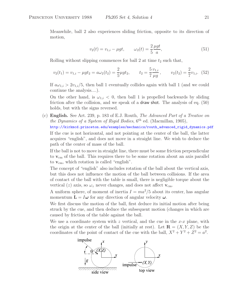Meanwhile, ball 2 also experiences sliding friction, opposite to its direction of motion,

$$
v_2(t) = v_{1,i} - \mu gt, \qquad \omega_2(t) = \frac{2}{5} \frac{\mu gt}{a}, \tag{51}
$$

Rolling without slipping commences for ball 2 at time  $t_2$  such that,

$$
v_2(t_1) = v_{1,i} - \mu g t_2 = a\omega_2(t_2) = \frac{2}{5}\mu g t_2, \qquad t_2 = \frac{5}{7}\frac{v_{1,i}}{\mu g}, \qquad v_2(t_2) = \frac{2}{7}v_{1,i}.
$$
 (52)

If  $a\omega_{1,i} > 2v_{1,i}/5$ , then ball 1 eventually collides again with ball 1 (and we could continue the analysis....).

On the other hand, is  $\omega_{1,i} < 0$ , then ball 1 is propelled backwards by sliding friction after the collision, and we speak of a draw shot. The analysis of eq. (50) holds, but with the signs reversed.

(c) **English.** See Art. 239, p. 183 of E.J. Routh, The Advanced Part of a Treatise on the Dynamics of a System of Rigid Bodies,  $6^{th}$  ed. (Macmillan, 1905), http://kirkmcd.princeton.edu/examples/mechanics/routh\_advanced\_rigid\_dynamics.pdf If the cue is not horizontal, and not pointing at the center of the ball, the latter acquires "english", and does not move in a straight line. We wish to deduce the path of the center of mass of the ball.

If the ball is not to move in straight line, there must be some friction perpendicular to  $v_{\rm cm}$  of the ball. This requires there to be some rotation about an axis parallel to  $\mathbf{v}_{cm}$ , which rotation is called "english".

The concept of "english" also includes rotation of the ball about the vertical axis, but this does not influence the motion of the ball between collisions. If the area of contact of the ball with the table is small, there is negligible torque about the vertical (*z*) axis, so  $\omega_z$  never changes, and does not affect  $\mathbf{v}_{cm}$ .

A uniform sphere, of moment of inertia  $I = ma^2/5$  about its center, has angular momentum  $\mathbf{L} = I\boldsymbol{\omega}$  for any direction of angular velocity  $\boldsymbol{\omega}$ .

We first discuss the motion of the ball, first deduce its initial motion after being struck by the cue, and then deduce the subsequent motion (changes in which are caused by friction of the table against the ball.

We use a coordinate system with z vertical, and the cue in the  $x-x$  plane, with the origin at the center of the ball (initially at rest). Let  $\mathbf{R} = (X, Y, Z)$  be the coordinates of the point of contact of the cue with the ball,  $X^2 + Y^2 + Z^2 = a^2$ .

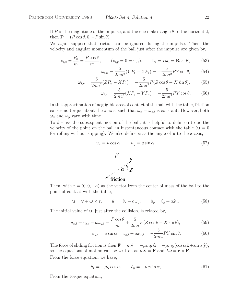If P is the magnitude of the impulse, and the cue makes angle  $\theta$  to the horizontal, then  $\mathbf{P} = (P \cos \theta, 0, -P \sin \theta).$ 

We again suppose that friction can be ignored during the impulse. Then, the velocity and angular momentum of the ball just after the impulse are given by,

$$
v_{i,x} = \frac{P_x}{m} = \frac{P\cos\theta}{m}, \qquad (v_{i,y} = 0 = v_{i,z}), \qquad \mathbf{L}_i = I\boldsymbol{\omega}_i = \mathbf{R} \times \mathbf{P}, \tag{53}
$$

$$
\omega_{i,x} = \frac{5}{2ma^2}(YP_z - ZP_y) = -\frac{5}{2ma^2}PY\sin\theta,\qquad(54)
$$

$$
\omega_{i,y} = \frac{5}{2ma^2}(ZP_x - XP_z) = -\frac{5}{2ma^2}P(Z\cos\theta + X\sin\theta),\tag{55}
$$

$$
\omega_{i,z} = \frac{5}{2ma^2}(XP_y - YP_x) = -\frac{5}{2ma^2}PY\cos\theta.
$$
 (56)

In the approximation of negligible area of contact of the ball with the table, friction causes no torque about the z-axis, such that  $\omega_x = \omega_{z,i}$  is constant. However, both  $\omega_x$  and  $\omega_y$  vary with time.

To discuss the subsequent motion of the ball, it is helpful to define **u** to be the velocity of the point on the ball in instantaneous contact with the table ( $\mathbf{u} = 0$ for rolling without slipping). We also define  $\alpha$  as the angle of **u** to the x-axis,

$$
u_x = u\cos\alpha, \qquad u_y = u\sin\alpha. \tag{57}
$$



Then, with  $\mathbf{r} = (0, 0, -a)$  as the vector from the center of mass of the ball to the point of contact with the table,

$$
\mathbf{u} = \mathbf{v} + \boldsymbol{\omega} \times \mathbf{r}, \qquad \dot{u}_x = \dot{v}_x - a\dot{\omega}_y, \qquad \dot{u}_y = \dot{v}_y + a\dot{\omega}_x. \tag{58}
$$

The initial value of **u**, just after the collision, is related by,

$$
u_{x,i} = v_{x,i} - a\omega_{y,i} = \frac{P\cos\theta}{m} + \frac{5}{2ma}P(Z\cos\theta + X\sin\theta),\tag{59}
$$

$$
u_{y,i} = u \sin \alpha = v_{y,i} + a\omega_{x,i} = -\frac{5}{2ma}PY\sin\theta.
$$
 (60)

The force of sliding friction is then  $\mathbf{F} = m\dot{\mathbf{v}} = -\mu mg\hat{\mathbf{u}} = -\mu mg(\cos\alpha\hat{\mathbf{x}} + \sin\alpha\hat{\mathbf{y}})$ , so the equations of motion can be written as  $m\dot{\mathbf{v}} = \mathbf{F}$  and  $I\dot{\boldsymbol{\omega}} = \mathbf{r} \times \mathbf{F}$ . From the force equation, we have,

$$
\dot{v}_x = -\mu g \cos \alpha, \qquad \dot{v}_y = -\mu g \sin \alpha, \tag{61}
$$

From the torque equation,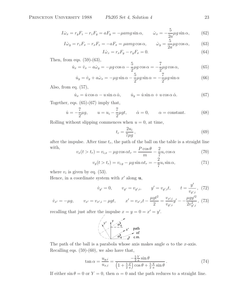$$
I\dot{\omega}_x = r_y F_z - r_z F_y = aF_y = -\mu \text{ang} \sin \alpha, \qquad \dot{\omega}_x = -\frac{5}{2a} \mu g \sin \alpha, \qquad (62)
$$

$$
I\dot{\omega}_y = r_z F_x - r_x F_z = -aF_x = \mu \text{ang} \cos \alpha, \qquad \dot{\omega}_y = \frac{5}{2a} \mu g \cos \alpha, \tag{63}
$$

$$
I\dot{\omega}_z = r_x F_y - r_y F_x = 0.
$$
\n<sup>(64)</sup>

Then, from eqs.  $(59)-(63)$ ,

$$
\dot{u}_x = \dot{v}_x - a\dot{\omega}_y = -\mu g \cos \alpha - \frac{5}{2}\mu g \cos \alpha = -\frac{7}{2}\mu g \cos \alpha, \tag{65}
$$

$$
\dot{u}_y = \dot{v}_y + a\dot{\omega}_x = -\mu g \sin \alpha - \frac{5}{2}\mu g \sin \alpha = -\frac{7}{2}\mu g \sin \alpha \tag{66}
$$

Also, from eq. (57),

$$
\dot{u}_x = \dot{u}\cos\alpha - u\sin\alpha\,\dot{\alpha}, \qquad \dot{u}_y = \dot{u}\sin\alpha + u\cos\alpha\,\dot{\alpha}.\tag{67}
$$

Together, eqs.  $(65)-(67)$  imply that,

$$
\dot{u} = -\frac{7}{2}\mu g, \qquad u = u_i - \frac{7}{2}\mu gt, \qquad \dot{\alpha} = 0, \qquad \alpha = \text{constant.} \tag{68}
$$

Rolling without slipping commences when  $u = 0$ , at time,

$$
t_r = \frac{2u_i}{7\mu g},\tag{69}
$$

after the impulse. After time  $t_r$ , the path of the ball on the table is a straight line with,  $D_{\alpha \alpha} A$   $\gamma$ 

$$
v_x(t > t_r) = v_{i,x} - \mu g \cos \alpha t_r = \frac{P \cos \theta}{m} - \frac{2}{7} u_i \cos \alpha \tag{70}
$$

$$
v_y(t > t_r) = v_{i,y} - \mu g \sin \alpha t_r = -\frac{2}{7} u_i \sin \alpha,
$$
\n(71)

where  $v_i$  is given by eq. (53).

Hence, in a coordinate system with  $x'$  along  $u$ ,

$$
\dot{v}_{y'} = 0,
$$
  $v_{y'} = v_{y',i},$   $y' = v_{y',i}t,$   $t = \frac{y'}{v_{y',i}},$  (72)

$$
\dot{v}_{x'} = -\mu g, \qquad v_{x'} = v_{x',i} - \mu gt, \qquad x' = v_{x',i}t - \frac{\mu gt^2}{2} = \frac{v_{x',i}}{v_{y',i}}y' - \frac{\mu gy'^2}{2v_{y',i}^2}, \tag{73}
$$

recalling that just after the impulse  $x = y = 0 = x' = y'$ .



The path of the ball is a parabola whose axis makes angle  $\alpha$  to the x-axis. Recalling eqs.  $(59)-(60)$ , we also have that,

$$
\tan \alpha = \frac{u_{y,i}}{u_{x,i}} = \frac{-\frac{5}{2}\frac{Y}{a}\sin\theta}{\left(1 + \frac{5}{2}\frac{Z}{a}\right)\cos\theta + \frac{5}{2}\frac{X}{a}\sin\theta}.
$$
\n(74)

If either  $\sin \theta = 0$  or  $Y = 0$ , then  $\alpha = 0$  and the path reduces to a straight line.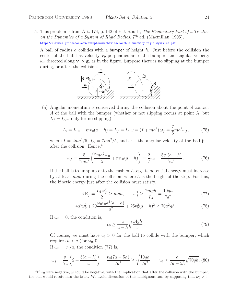5. This problem is from Art. 174, p. 142 of E.J. Routh, The Elementary Part of a Treatise on the Dynamics of a System of Rigid Bodies,  $7<sup>th</sup>$  ed. (Macmillan, 1905), http://kirkmcd.princeton.edu/examples/mechanics/routh\_elementary\_rigid\_dynamics.pdf

A ball of radius a collides with a bumper of height  $h$ . Just before the collision the center of the ball has velocity  $\mathbf{v}_0$  perpendicular to the bumper, and angular velocity  $\omega_0$  directed along  $\mathbf{v}_0 \times \mathbf{g}$ , as in the figure. Suppose there is no slipping at the bumper during, or after, the collision.



(a) Angular momentum is conserved during the collision about the point of contact A of the ball with the bumper (whether or not slipping occurs at point A, but  $L_f = I_A \omega$  only for no slipping),

$$
L_i = I\omega_0 + mv_0(a - h) = L_f = I_A \omega = (I + ma^2)\omega_f = \frac{7}{5}ma^2\omega_f,
$$
 (75)

where  $I = 2ma^2/5$ ,  $I_A = 7ma^2/5$ , and  $\omega$  is the angular velocity of the ball just after the collision. Hence,<sup>4</sup>

$$
\omega_f = \frac{5}{7ma^2} \left( \frac{2ma^2 \omega_0}{5} + mv_0(a-h) \right) = \frac{2}{7}\omega_0 + \frac{5v_0(a-h)}{7a^2}.
$$
 (76)

If the ball is to jump up onto the cushion/step, its potential energy must increase by at least mgh during the collision, where h is the height of the step. For this, the kinetic energy just after the collision must satisfy,

$$
KE_f = \frac{I_A \omega_f^2}{2} \ge mgh, \qquad \omega_f^2 \ge \frac{2mgh}{I_A} = \frac{10gh}{7a^2},\tag{77}
$$

$$
4a^4\omega_0^2 + 20\frac{\omega_0 v_0 a^2 (a - h)}{a^2} + 25v_0^2 (a - h)^2 \ge 70a^2 gh.
$$
 (78)

If  $\omega_0 = 0$ , the condition is,

$$
v_0 \ge \frac{a}{a-h} \sqrt{\frac{14gh}{5}}.
$$
\n<sup>(79)</sup>

Of course, we must have  $v_0 > 0$  for the ball to collide with the bumper, which requires  $h < a$  (for  $\omega_0$ , 0.

If  $\omega_0 = v_0/a$ , the condition (77) is,

$$
\omega_f = \frac{v_0}{7a} \left( 2 + \frac{5(a-h)}{a} \right) = \frac{v_0(7a-5h)}{7a^2} \ge \sqrt{\frac{10gh}{7a^2}} \qquad v_0 \ge \frac{a}{7a-5h} \sqrt{70gh}.\tag{80}
$$

<sup>&</sup>lt;sup>4</sup>If  $\omega_0$  were negative,  $\omega$  could be negative, with the implication that after the collision with the bumper, the ball would rotate into the table. We avoid discussion of this ambiguous case by supposing that  $\omega_0 > 0$ .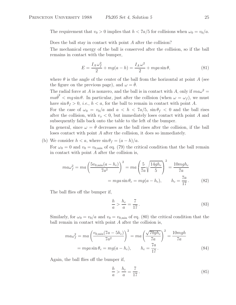The requirement that  $v_0 > 0$  implies that  $h < 7a/5$  for collisions when  $\omega_0 = v_0/a$ .

Does the ball stay in contact with point A after the collision?

The mechanical energy of the ball is conserved after the collision, so if the ball remains in contact with the bumper,

$$
E = \frac{I_A \omega_f^2}{2} + mg(a - h) = \frac{I_A \omega^2}{2} + mga \sin \theta, \tag{81}
$$

where  $\theta$  is the angle of the center of the ball from the horizontal at point A (see the figure on the previous page), and  $\omega = \dot{\theta}$ .

The radial force at A is nonzero, and the ball is in contact with A, only if  $m a \omega^2 =$  $m a \dot{\theta}^2 < m g \sin \theta$ . In particular, just after the collision (when  $\omega = \omega_f$ ), we must have  $\sin \theta_f > 0$ , *i.e.*,  $h < a$ , for the ball to remain in contact with point A.

For the case of  $\omega_0 = v_0/a$  and  $a < h < 7a/5$ ,  $\sin \theta_f < 0$  and the ball rises after the collision, with  $v_x < 0$ , but immediately loses contact with point A and subsequently falls back onto the table to the left of the bumper.

In general, since  $\omega = \dot{\theta}$  decreases as the ball rises after the collision, if the ball loses contact with point A after the collision, it does so immediately.

(b) We consider  $h < a$ , where  $\sin \theta_f = (a - h)/a$ .

For  $\omega_0 = 0$  and  $v_0 = v_{0,\text{min}}$  of eq. (79) the critical condition that the ball remain in contact with point A after the collision is,

$$
m a \omega_f^2 = m a \left(\frac{5v_{0,\min}(a-h_c)}{7a^2}\right)^2 = m a \left(\frac{5}{7a} \sqrt{\frac{14gh_c}{5}}\right)^2 = \frac{10mgh_c}{7a}
$$

$$
= mga \sin \theta_c = mg(a-h_c), \qquad h_c = \frac{7a}{17}.
$$
(82)

The ball flies off the bumper if,

$$
\frac{h}{a} > \frac{h_c}{a} = \frac{7}{17} \,. \tag{83}
$$

Similarly, for  $\omega_0 = v_0/a$  and  $v_0 = v_{0,\text{min}}$  of eq. (80) the critical condition that the ball remain in contact with point A after the collision is,

$$
m a \omega_f^2 = m a \left( \frac{v_{0,\min}(7a - 5h_c)}{7a^2} \right)^2 = m a \left( \frac{\sqrt{70gh_c}}{7a} \right)^2 = \frac{10mgh}{7a}
$$

$$
= mga \sin \theta_c = mg(a - h_c), \qquad h_c = \frac{7a}{17}.
$$
(84)

Again, the ball flies off the bumper if,

$$
\frac{h}{a} > \frac{h_c}{a} = \frac{7}{17} \,. \tag{85}
$$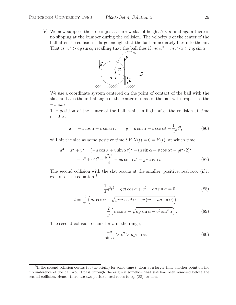(c) We now suppose the step is just a narrow slat of height  $h < a$ , and again there is no slipping at the bumper during the collision. The velocity  $v$  of the center of the ball after the collision is large enough that the ball immediately flies into the air. That is,  $v^2 > ag \sin \alpha$ , recalling that the ball flies if  $ma \omega^2 = mv^2/a > mg \sin \alpha$ .



We use a coordinate system centered on the point of contact of the ball with the slat, and  $\alpha$  is the initial angle of the center of mass of the ball with respect to the  $-x$  axis.

The position of the center of the ball, while in flight after the collision at time  $t = 0$  is,

$$
x = -a\cos\alpha + v\sin\alpha t, \qquad y = a\sin\alpha + v\cos\alpha t - \frac{1}{2}gt^2,
$$
 (86)

will hit the slat at some positive time t if  $X(t)=0=Y(t)$ , at which time,

$$
a^{2} = x^{2} + y^{2} = (-a \cos \alpha + v \sin \alpha t)^{2} + (a \sin \alpha + v \cos \alpha t - gt^{2}/2)^{2}
$$
  
=  $a^{2} + v^{2}t^{2} + \frac{g^{2}t^{4}}{4} - ga \sin \alpha t^{2} - gv \cos \alpha t^{3}$ . (87)

The second collision with the slat occurs at the smaller, positive, real root (if it exists) of the equation,<sup>5</sup>

$$
\frac{1}{4}g^2t^2 - gvt\cos\alpha + v^2 - ag\sin\alpha = 0,
$$
\n(88)

$$
t = \frac{2}{g^2} \left( gv \cos \alpha - \sqrt{g^2 v^2 \cos^2 \alpha - g^2 (v^2 - ag \sin \alpha)} \right)
$$
  
=  $\frac{2}{g} \left( v \cos \alpha - \sqrt{ag \sin \alpha - v^2 \sin^2 \alpha} \right).$  (89)

The second collision occurs for  $v$  in the range,

$$
\frac{ag}{\sin \alpha} > v^2 > ag \sin \alpha.
$$
 (90)

<sup>&</sup>lt;sup>5</sup>If the second collision occurs (at the origin) for some time t, then at a larger time another point on the circumference of the ball would pass through the origin if somehow that slat had been removed before the second collision. Hence, there are two positive, real roots to eq.  $(88)$ , or none.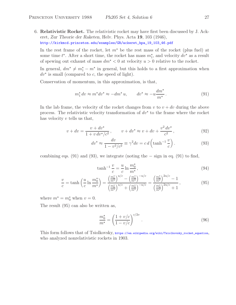6. **Relativistic Rocket.** The relativistic rocket may have first been discussed by J. Ackeret, *Zur Theorie der Raketen*, Helv. Phys. Acta **19**, 103 (1946), http://kirkmcd.princeton.edu/examples/GR/ackeret\_hpa\_19\_103\_46.pdf

In the rest frame of the rocket, let  $m^*$  be the rest mass of the rocket (plus fuel) at some time  $t^*$ . After a short time, the rocket has mass  $m_1^*$ , and velocity  $dv^*$  as a result of spewing out exhaust of mass  $dm^* < 0$  at velocity  $u > 0$  relative to the rocket.

In general,  $dm^* \neq m_1^* - m^*$  in general, but this holds to a first approximation when  $dv^*$  is small (compared to c, the speed of light).

Conservation of momentum, in this approximation, is that,

$$
m_1^* dv \approx m^* dv^* \approx -dm^* u, \qquad dv^* \approx -u \frac{dm^*}{m^*}.
$$
 (91)

In the lab frame, the velocity of the rocket changes from v to  $v + dv$  during the above process. The relativistic velocity transformation of  $dv^*$  to the frame where the rocket has velocity  $v$  tells us that,

$$
v + dv = \frac{v + dv^*}{1 + v dv^*/c^2}, \qquad v + dv^* \approx v + dv + \frac{v^2 dv^*}{c^2},
$$
\n(92)

$$
dv^* \approx \frac{dv}{1 - v^2/c^2} \equiv \gamma^2 dv = c d \left( \tanh^{-1} \frac{v}{c} \right). \tag{93}
$$

combining eqs. (91) and (93), we integrate (noting the  $-$  sign in eq. (91) to find,

$$
\tanh^{-1}\frac{v}{c} = \frac{u}{c}\ln\frac{m_0^*}{m^*},\tag{94}
$$

$$
\frac{v}{c} = \tanh\left(\frac{u}{c}\ln\frac{m_0^{\star}}{m^{\star}}\right) = \frac{\left(\frac{m_0^{\star}}{m^{\star}}\right)^{u/c} - \left(\frac{m_0^{\star}}{m^{\star}}\right)^{-u/c}}{\left(\frac{m_0^{\star}}{m^{\star}}\right)^{u/c} + \left(\frac{m_0^{\star}}{m^{\star}}\right)^{-u/c}} = \frac{\left(\frac{m_0^{\star}}{m^{\star}}\right)^{2u/c} - 1}{\left(\frac{m_0^{\star}}{m^{\star}}\right)^{2u/c} + 1},\tag{95}
$$

where  $m^* = m_0^*$  when  $v = 0$ .

The result (95) can also be written as,

$$
\frac{m_0^*}{m^*} = \left(\frac{1 + v/c}{1 - v/c}\right)^{c/2v}.
$$
\n(96)

This form follows that of Tsiolkovsky, https://en.wikipedia.org/wiki/Tsiolkovsky\_rocket\_equation, who analyzed nonrelativistic rockets in 1903.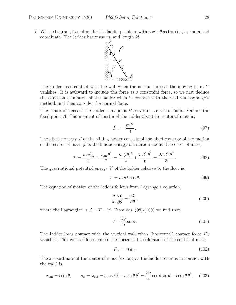7. We use Lagrange's method for the ladder problem, with angle  $\theta$  as the single generalized coordinate. The ladder has mass  $m$ , and length  $2l$ .



The ladder loses contact with the wall when the normal force at the moving point C vanishes. It is awkward to include this force as a constraint force, so we first deduce the equation of motion of the ladder when in contact with the wall via Lagrange's method, and then consider the normal force.

The center of mass of the ladder is at point B moves in a circle of radius l about the fixed point A. The moment of inertia of the ladder about its center of mass is,

$$
I_{\rm cm} = \frac{m l^2}{3} \,. \tag{97}
$$

The kinetic energy  $T$  of the sliding ladder consists of the kinetic energy of the motion of the center of mass plus the kinetic energy of rotation about the center of mass,

$$
T = \frac{m v_{\rm cm}^2}{2} + \frac{I_{\rm cm} \dot{\theta}^2}{2} = \frac{m \, (l\dot{\theta})^2}{2} + \frac{m \, l^2 \dot{\theta}^2}{6} = \frac{2m \, l^2 \dot{\theta}^2}{3} \,. \tag{98}
$$

The gravitational potential energy  $V$  of the ladder relative to the floor is,

$$
V = m \, g \, l \, \cos \theta. \tag{99}
$$

The equation of motion of the ladder follows from Lagrange's equation,

$$
\frac{d}{dt}\frac{\partial \mathcal{L}}{\partial \dot{\theta}} = \frac{\partial \mathcal{L}}{\partial \theta},\tag{100}
$$

where the Lagrangian is  $\mathcal{L} = T - V$ . From eqs. (98)-(100) we find that,

$$
\ddot{\theta} = \frac{3g}{4l} \sin \theta. \tag{101}
$$

The ladder loses contact with the vertical wall when (horizontal) contact force  $F_C$ vanishes. This contact force causes the horizontal acceleration of the center of mass,

$$
F_C = m a_x. \tag{102}
$$

The x coordinate of the center of mass (so long as the ladder remains in contact with the wall) is,

$$
x_{\rm cm} = l\sin\theta, \qquad a_x = \ddot{x}_{\rm cm} = l\cos\theta\,\ddot{\theta} - l\sin\theta\,\dot{\theta}^2 = \frac{3g}{4}\cos\theta\sin\theta - l\sin\theta\,\dot{\theta}^2. \tag{103}
$$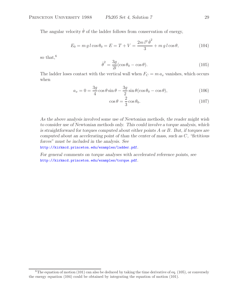The angular velocity  $\dot{\theta}$  of the ladder follows from conservation of energy,

$$
E_0 = m g l \cos \theta_0 = E = T + V = \frac{2m l^2 \dot{\theta}^2}{3} + m g l \cos \theta, \qquad (104)
$$

so that,<sup>6</sup>

$$
\dot{\theta}^2 = \frac{3g}{2l} (\cos \theta_0 - \cos \theta). \tag{105}
$$

The ladder loses contact with the vertical wall when  $F_C = m a_x$  vanishes, which occurs when

$$
a_x = 0 = \frac{3g}{4}\cos\theta\sin\theta - \frac{3g}{2}\sin\theta(\cos\theta_0 - \cos\theta),\tag{106}
$$

$$
\cos \theta = \frac{2}{3} \cos \theta_0. \tag{107}
$$

*As the above analysis involved some use of Newtonian methods, the reader might wish to consider use of Newtonian methods only. This could involve a torque analysis, which is straightforward for torques computed about either points* A *or* B*. But, if torques are computed about an accelerating point of than the center of mass, such as* C*, "fictitious forces" must be included in the analysis. See*

http://kirkmcd.princeton.edu/examples/ladder.pdf*.*

*For general comments on torque analyses with accelerated reference points, see* http://kirkmcd.princeton.edu/examples/torque.pdf*.*

 ${}^{6}$ The equation of motion (101) can also be deduced by taking the time derivative of eq. (105), or conversely the energy equation (104) could be obtained by integrating the equation of motion (101).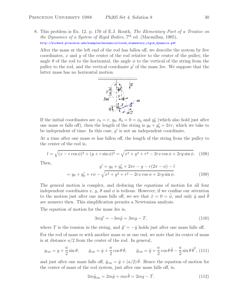8. This problem is Ex. 12, p. 170 of E.J. Routh, The Elementary Part of a Treatise on the Dynamics of a System of Rigid Bodies,  $7<sup>th</sup>$  ed. (Macmillan, 1905), http://kirkmcd.princeton.edu/examples/mechanics/routh\_elementary\_rigid\_dynamics.pdf

After the mass at the left end of the rod has fallen off, we describe the system by five coordinates, x and y of the center of the rod relative to the center of the pulley, the angle  $\theta$  of the rod to the horizontal, the angle  $\phi$  to the vertical of the string from the pulley to the rod, and the vertical coordinate  $y'$  of the mass 3m. We suppose that the latter mass has no horizontal motion.



If the initial coordinates are  $x_0 = r$ ,  $y_0$ ,  $\theta_0 = 0 = \phi_0$  and  $y'_0$  (which also hold just after one mass m falls off), then the length of the string is  $y_0 + y'_0 + 2\pi r$ , which we take to be independent of time. In this case,  $y'$  is not an independent coordinate.

At a time after one mass m has fallen off, the length of the string from the pulley to the center of the rod is,

$$
l = \sqrt{(x - r\cos\phi)^2 + (y + r\sin\phi)^2} = \sqrt{x^2 + y^2 + r^2 - 2rx\cos\phi + 2ry\sin\phi}.
$$
 (108)

Then,

$$
y' = y_0 + y'_0 + 2\pi r - y - r(2\pi - \phi) - l
$$
  
=  $y_0 + y'_0 + r\phi - \sqrt{x^2 + y^2 + r^2 - 2rx\cos\phi + 2ry\sin\phi}.$  (109)

The general motion is complex, and deducing the equations of motion for all four independent coordinates x, y,  $\theta$  and  $\phi$  is tedious. However, if we confine our attention to the motion just after one mass falls off, we see that  $\ddot{x} = 0 = \phi$ , and only  $\ddot{y}$  and  $\theta$ are nonzero then. This simplification permits a Newtonian analysis.

The equation of motion for the mass  $3m$  is,

$$
3m\ddot{y}' = -3m\ddot{y} = 3mg - T,\tag{110}
$$

where T is the tension in the string, and  $\ddot{y}' = -\ddot{y}$  holds just after one mass falls off.

For the rod of mass  $m$  with another mass  $m$  at one end, we note that its center of mass is at distance  $a/2$  from the center of the rod. In general,

$$
y_{\rm cm} = y + \frac{a}{2}\sin\theta, \qquad \dot{y}_{\rm cm} = \dot{y} + \frac{a}{2}\cos\theta\,\dot{\theta}, \qquad \ddot{y}_{\rm cm} = \ddot{y} + \frac{a}{2}\cos\theta\,\ddot{\theta} - \frac{a}{2}\sin\theta\,\dot{\theta}^2, \tag{111}
$$

and just after one mass falls off,  $\ddot{y}_{cm} = \ddot{y} + (a/2) \ddot{\theta}$ . Hence the equation of motion for the center of mass of the rod system, just after one mass falls off, is,

$$
2m\ddot{y}_{\rm cm} = 2m\ddot{y} + ma\ddot{\theta} = 2mg - T.
$$
\n(112)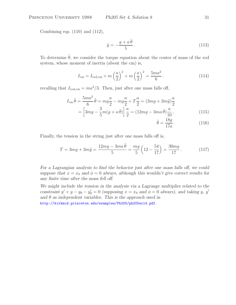Combining eqs. (110) and (112),

$$
\ddot{y} = -\frac{g + a\ddot{\theta}}{5}.
$$
\n(113)

To determine  $\ddot{\theta}$ , we consider the torque equation about the center of mass of the rod system, whose moment of inertia (about the cm) is,

$$
I_{\rm cm} = I_{\rm rod, cm} + m \left(\frac{a}{2}\right)^2 + m \left(\frac{a}{2}\right)^2 = \frac{5ma^2}{6}.
$$
 (114)

recalling that  $I_{\text{rod,cm}} = ma^2/3$ . Then, just after one mass falls off,

$$
I_{\rm cm} \ddot{\theta} = \frac{5ma^2}{6} \ddot{\theta} = mg \frac{a}{2} - mg \frac{a}{2} + T \frac{a}{2} = (3mg + 3m\ddot{y})\frac{a}{2}
$$

$$
= \left[ 3mg - \frac{3}{5}m(g + a\ddot{\theta}) \right] \frac{a}{2} = (12mg - 3ma\ddot{\theta})\frac{a}{10}, \tag{115}
$$

$$
\ddot{\theta} = \frac{18g}{17a} \,. \tag{116}
$$

Finally, the tension in the string just after one mass falls off is,

$$
T = 3mg + 3m\ddot{y} = \frac{12mg - 3ma\ddot{\theta}}{5} = \frac{mg}{5}\left(12 - \frac{54}{17}\right) = \frac{30mg}{17}.
$$
 (117)

*For a Lagrangian analysis to find the behavior just after one mass falls off, we could suppose that*  $x = x_0$  *and*  $\phi = 0$  *always, although this wouldn't give correct results for any finite time after the mass fell off.*

We might include the tension in the analysis via a Lagrange multiplier related to the *constraint*  $y' + y - y_0 - y'_0 = 0$  (supposing  $x = x_0$  and  $\phi = 0$  always), and taking y, y' and  $\theta$  *as independent variables. This is the approach used in* 

http://kirkmcd.princeton.edu/examples/Ph205/ph205sol4.pdf.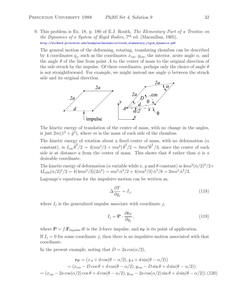9. This problem is Ex. 18, p. 180 of E.J. Routh, The Elementary Part of a Treatise on the Dynamics of a System of Rigid Bodies,  $7<sup>th</sup>$  ed. (Macmillan, 1905), http://kirkmcd.princeton.edu/examples/mechanics/routh\_elementary\_rigid\_dynamics.pdf

The general motion of the deforming, rotating, translating rhombus can be described by 4 coordinates  $q_i$ , such as the coordinates  $x_{cm}$ ,  $y_{cm}$ , the interior, acute angle  $\alpha$ , and the angle  $\theta$  of the line from point A to the center of mass to the original direction of the side struck by the impulse. Of these coordinates, perhaps only the choice of angle  $\theta$ is not straightforward. For example, we might instead use angle  $\phi$  between the struck side and its original direction.



The kinetic energy of translation of the center of mass, with no change in the angles, is just  $2m(\dot{x}^2 + \dot{y}^2)$ , where m is the mass of each side of the rhombus.

The kinetic energy of rotation about a fixed center of mass, with no deformation ( $\alpha$ constant), is  $I_{cm} \dot{\vec{\theta}^2}/2 = 4(ma^2/3 + ma^2)\dot{\vec{\theta}^2}/2 = 8ma^2\dot{\vec{\theta}^2}/3$ , since the center of each side is at distance a from the center of mass. This shows that  $\theta$  rather than  $\phi$  is a desirable coordinate.

The kinetic energy of deformation ( $\alpha$  variable while x, y and  $\theta$  constant) is  $4ma^2(\dot{\alpha}/2)^2/2+$  $4I_{\text{side}}(\dot{\alpha}/2)^2/2 = 4(4ma^2/3)(2\dot{\alpha}^2) = ma^2 \dot{\alpha}^2/2 + 4(m\dot{a}^2/3)\dot{\alpha}^2/8 = 2ma^2 \dot{\alpha}^2/3.$ 

Lagrange's equations for the impulsive motion can be written as,

$$
\Delta \frac{\partial T}{\partial \dot{q}_j} = I_j,\tag{118}
$$

where  $I_j$  is the generalized impulse associate with coordinate  $j$ ,

$$
I_j = \mathbf{P} \cdot \frac{\partial \mathbf{r}_P}{\partial q_j},\tag{119}
$$

where  $P = \int \mathbf{F}_{\text{impulse}} dt$  is the 3-force impulse, and  $\mathbf{r}_P$  is its point of application. If  $I_j = 0$  for some coordinate j, then there is no impulsive motion associated with that coordinate.

In the present example, noting that  $D = 2a \cos(\alpha/2)$ ,

$$
\mathbf{r}_{\mathbf{P}} = (x_A + d\cos(\theta - \alpha/2), y_A + d\sin(\theta - \alpha/2))
$$
  
=  $(x_{\text{cm}} - D\cos\theta + d\cos(\theta - \alpha/2), y_{\text{cm}} - D\sin\theta + d\sin(\theta - \alpha/2))$   
=  $(x_{\text{cm}} - 2a\cos(\alpha/2)\cos\theta + d\cos(\theta - \alpha/2), y_{\text{cm}} - 2a\cos(\alpha/2)\sin\theta + d\sin(\theta - \alpha/2)).$  (120)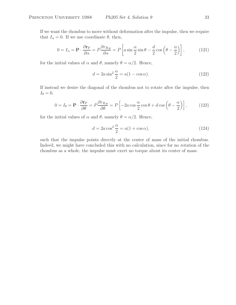If we want the rhombus to move without deformation after the impulse, then we require that  $I_{\alpha} = 0$ . If we use coordinate  $\theta$ , then,

$$
0 = I_{\alpha} = \mathbf{P} \cdot \frac{\partial \mathbf{r}_{\mathrm{P}}}{\partial \alpha} = P \frac{\partial r_{R,y}}{\partial \alpha} = P \left[ a \sin \frac{\alpha}{2} \sin \theta - \frac{d}{2} \cos \left( \theta - \frac{\alpha}{2} \right) \right],\tag{121}
$$

for the initial values of  $\alpha$  and  $\theta$ , namely  $\theta = \alpha/2$ . Hence,

$$
d = 2a\sin^2\frac{\alpha}{2} = a(1 - \cos\alpha). \tag{122}
$$

If instead we desire the diagonal of the rhombus not to rotate after the impulse, then  $I_{\theta}=0,$ 

$$
0 = I_{\theta} = \mathbf{P} \cdot \frac{\partial \mathbf{r}_{P}}{\partial \theta} = P \frac{\partial r_{R,y}}{\partial \theta} = P \left[ -2a \cos \frac{\alpha}{2} \cos \theta + d \cos \left( \theta - \frac{\alpha}{2} \right) \right],\tag{123}
$$

for the initial values of  $\alpha$  and  $\theta$ , namely  $\theta = \alpha/2$ . Hence,

$$
d = 2a\cos^2\frac{\alpha}{2} = a(1 + \cos\alpha),\tag{124}
$$

such that the impulse points directly at the center of mass of the initial rhombus. Indeed, we might have concluded this with no calculation, since for no rotation of the rhombus as a whole, the impulse must exert no torque about its center of mass.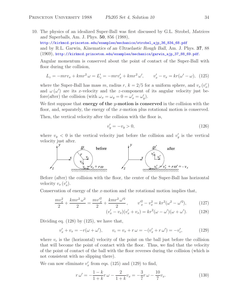10. The physics of an idealized Super-Ball was first discussed by G.L. Strobel, *Matrices and Superballs*, Am. J. Phys. **50**, 856 (1988), http://kirkmcd.princeton.edu/examples/mechanics/strobel\_ajp\_36\_834\_68.pdf and by R.L. Garwin, *Kinematics of an Ultraelastic Rough Ball*, Am. J. Phys. **37**, 88 (1969), http://kirkmcd.princeton.edu/examples/mechanics/garwin\_ajp\_37\_88\_69.pdf.

Angular momentum is conserved about the point of contact of the Super-Ball with floor during the collision,

$$
L_z = -mrv_x + kmr^2 \omega = L'_z = -mrv'_x + kmr^2 \omega', \qquad v'_x - v_x = kr(\omega' - \omega), \tag{125}
$$

where the Super-Ball has mass m, radius r,  $k = 2/5$  for a uniform sphere, and  $v_x(v'_x)$ and  $\omega(\omega')$  are its x-velocity and the z-component of its angular velocity just before(after) the collision (with  $\omega_x = \omega_y = 0 = \omega'_x = \omega'_y$ ).

We first suppose that **energy of the** y**-motion is conserved** in the collision with the floor, and, separately, the energy of the x-motion plus rotational motion is conserved. Then, the vertical velocity after the collision with the floor is,

$$
v_y' = -v_y > 0,\t\t(126)
$$

where  $v_y < 0$  is the vertical velocity just before the collision and  $v'_y$  is the vertical velocity just after.



Before (after) the collision with the floor, the center of the Super-Ball has horizontal velocity  $v_x\left(v'_x\right)$ .

Conservation of energy of the x-motion and the rotational motion implies that,

$$
\frac{mv_x^2}{2} + \frac{kmr^2\,\omega^2}{2} = \frac{mv_x'^2}{2} + \frac{kmr^2\,\omega'^2}{2} \,, \qquad v_x'^2 - v_x^2 = kr^2(\omega^2 - \omega'^2), \tag{127}
$$

$$
(v'_x - v_x)(v'_x + v_x) = kr^2(\omega - \omega')(\omega + \omega'). \tag{128}
$$

Dividing eq. (128) by (125), we have that,

$$
v'_x + v_x = -r(\omega + \omega'), \qquad v_c = v_x + r\,\omega = -(v'_x + r\,\omega') = -v'_c,\tag{129}
$$

where  $v_c$  is the (horizontal) velocity of the point on the ball just before the collision that will become the point of contact with the floor. Thus, we find that the velocity of the point of contact of the ball with the floor reverses during the collision (which is not consistent with no slipping there).

We can now eliminate  $v'_x$  from eqs. (125) and (129) to find,

$$
r\,\omega' = -\frac{1-k}{1+k}r\,\omega - \frac{2}{1+k}v_x = -\frac{3}{7}r\,\omega - \frac{10}{7}v_x.\tag{130}
$$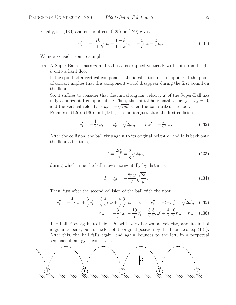Finally, eq. (130) and either of eqs. (125) or (129) gives,

$$
v_x' = -\frac{2k}{1+k}r\,\omega + \frac{1-k}{1+k}v_x = -\frac{4}{7}r\,\omega + \frac{3}{7}v_x.\tag{131}
$$

We now consider some examples:

(a) A Super-Ball of mass m and radius r is dropped vertically with spin from height h onto a hard floor.

If the spin had a vertical component, the idealization of no slipping at the point of contact implies that this component would disappear during the first bound on the floor.

So, it suffices to consider that the initial angular velocity  $\omega$  of the Super-Ball has only a horizontal component,  $\omega$  Then, the initial horizontal velocity is  $v_x = 0$ , and the vertical velocity is  $y_y = -\sqrt{2gh}$  when the ball strikes the floor.

From eqs. (126), (130) and (131), the motion just after the first collision is,

$$
v_x' = -\frac{4}{7}r\omega, \qquad v_y' = \sqrt{2gh}, \qquad r\,\omega' = -\frac{3}{7}r\,\omega. \tag{132}
$$

After the collision, the ball rises again to its original height  $h$ , and falls back onto the floor after time,

$$
t = \frac{2v'_y}{g} = \frac{2}{g}\sqrt{2gh},\tag{133}
$$

during which time the ball moves horizontally by distance,

$$
d = v_x' t = -\frac{8r\,\omega}{7} \sqrt{\frac{2h}{g}}.\tag{134}
$$

Then, just after the second collision of the ball with the floor,

$$
v''_x = -\frac{4}{7}r\,\omega' + \frac{3}{7}v'_x = \frac{3}{7}\frac{4}{7}r\,\omega + \frac{4}{7}\frac{3}{7}r\,\omega = 0, \qquad v''_y = -(-v'_y) = \sqrt{2gh}, \tag{135}
$$

$$
r\,\omega'' = -\frac{3}{7}r\,\omega' - \frac{10}{7}v_x' = \frac{3}{7}\frac{3}{7},\omega' + \frac{4}{7}\frac{10}{7}r\,\omega = r\,\omega.\tag{136}
$$

The ball rises again to height  $h$ , with zero horizontal velocity, and its initial angular velocity, but to the left of its original position by the distance of eq. (134). After this, the ball falls again, and again bounces to the left, in a perpetual sequence if energy is conserved.

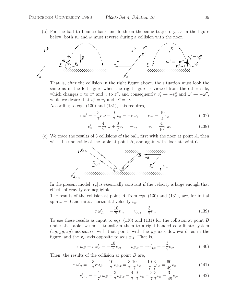(b) For the ball to bounce back and forth on the same trajectory, as in the figure below, both  $v_x$  and  $\omega$  must reverse during a collision with the floor.



That is, after the collision in the right figure above, the situation must look the same as in the left figure when the right figure is viewed from the other side, which changes x to x'' and z to z'', and consequently  $v'_x \to -v''_x$  and  $\omega' \to -\omega''$ , while we desire that  $v''_x = v_x$  and  $\omega'' = \omega$ .

According to eqs. (130) and (131), this requires,

$$
r\,\omega' = -\frac{3}{7}r\,\omega - \frac{10}{7}v_x = -r\,\omega, \qquad r\,\omega = \frac{10}{4}v_x,\tag{137}
$$

$$
v_x' = -\frac{4}{7}r\,\omega + \frac{3}{7}v_x = -v_x, \qquad v_x = \frac{4}{10}r\,\omega. \tag{138}
$$

(c) We trace the results of 3 collisions of the ball, first with the floor at point  $A$ , then with the underside of the table at point  $B$ , and again with floor at point  $C$ .



In the present model  $|v_y|$  is essentially constant if the velocity is large enough that effects of gravity are negligible.

The results of the collision at point  $A$ , from eqs. (130) and (131), are, for initial spin  $\omega = 0$  and initial horizontal velocity  $v_x$ ,

$$
r\,\omega'_A = -\frac{10}{7}v_x, \qquad v'_{A,x} = \frac{3}{7}v_x. \tag{139}
$$

To use these results as input to eqs.  $(130)$  and  $(131)$  for the collision at point B under the table, we must transform them to a right-handed coordinate system  $(x_B, y_B, z_B)$  associated with that point, with the  $y_B$  axis downward, as in the figure, and the  $x_B$  axis opposite to axis  $x_A$ . That is,

$$
r\,\omega_B = r\,\omega'_A = -\frac{10}{7}v_x, \qquad v_{B,x} = -v'_{A,x} = -\frac{3}{7}v_x. \tag{140}
$$

Then, the results of the collision at point  $B$  are,

$$
r\,\omega'_B = -\frac{3}{7}r\omega_B - \frac{10}{7}v_{B,x} = \frac{3}{7}\frac{10}{7}v_x + \frac{10}{7}\frac{3}{7}v_x = \frac{60}{49}v_x,\tag{141}
$$

$$
v'_{B,x} = -\frac{4}{7}r\omega_B + \frac{3}{7}v_{B,x} = \frac{4}{7}\frac{10}{7}v_x - \frac{3}{7}\frac{3}{7}v_x = \frac{31}{49}v_x.
$$
 (142)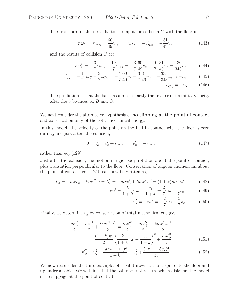The transform of these results to the input for collision  $C$  with the floor is,

$$
r\,\omega_C = r\,\omega'_B = \frac{60}{49}v_x, \qquad v_{C,x} = -v'_{B,x} = -\frac{31}{49}v_x,\tag{143}
$$

and the results of collision C are,

$$
r\,\omega'_C = -\frac{3}{7}r\,\omega_C - \frac{10}{7}v_{C,x} = -\frac{3}{7}\frac{60}{49}v_x + \frac{10}{7}\frac{31}{49}v_x = \frac{130}{343}v_x,\tag{144}
$$

$$
v'_{C,x} = -\frac{4}{7}r\,\omega_C + \frac{3}{7}v_{C,x} = -\frac{4}{7}\frac{60}{49}v_x - \frac{3}{7}\frac{31}{49}v_x = -\frac{333}{343}v_x \approx -v_x,\tag{145}
$$

$$
v'_{C,y} = -v_y. \qquad (146)
$$

The prediction is that the ball has almost exactly the reverse of its initial velocity after the 3 bounces  $A, B$  and  $C$ .

We next consider the alternative hypothesis of **no slipping at the point of contact** and conservation only of the total mechanical energy.

In this model, the velocity of the point on the ball in contact with the floor is zero during, and just after, the collision,

$$
0 = v'_c = v'_x + r\,\omega', \qquad v'_x = -r\,\omega', \tag{147}
$$

rather than eq. (129).

Just after the collision, the motion is rigid-body rotation about the point of contact, plus translation perpendicular to the floor. Conservation of angular momentum about the point of contact, eq. (125), can now be written as,

$$
L_z = -mrv_x + kmr^2 \omega = L'_z = -mrv'_x + kmr^2 \omega' = (1+k)mr^2 \omega', \qquad (148)
$$

$$
r\omega' = \frac{k}{1+k}r\,\omega - \frac{v_x}{1+k} = \frac{2}{7}r\,\omega - \frac{5}{7}v_x,\tag{149}
$$

$$
v_x' = -r\omega' = -\frac{2}{7}r\,\omega + \frac{5}{7}v_x. \tag{150}
$$

Finally, we determine  $v'_y$  by conservation of total mechanical energy,

$$
\frac{mv_x^2}{2} + \frac{mv_x^2}{2} + \frac{kmr^2\,\omega^2}{2} = \frac{mv_x^2}{2} + \frac{mv_y^2}{2} + \frac{kmr^2\,\omega^2}{2}
$$
\n
$$
= \frac{(1+k)m}{2} \left(\frac{k}{1+k}r\,\omega - \frac{v_x}{1+k}\right)^2 + \frac{mv_y^2}{2} \tag{151}
$$

$$
v_y'^2 = v_y^2 + \frac{(kr\,\omega - v_x)^2}{1 + k} = v_y^2 + \frac{(2r\,\omega - 5v_x)^2}{35}.
$$
 (152)

We now reconsider the third example, of a ball thrown without spin onto the floor and up under a table. We will find that the ball does not return, which disfavors the model of no slippage at the point of contact.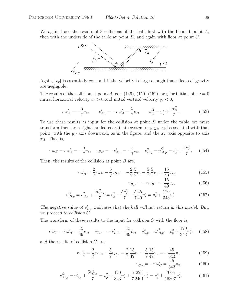We again trace the results of 3 collisions of the ball, first with the floor at point  $A$ , then with the underside of the table at point  $B$ , and again with floor at point  $C$ .



Again,  $|v_y|$  is essentially constant if the velocity is large enough that effects of gravity are negligible.

The results of the collision at point A, eqs. (149), (150) (152), are, for initial spin  $\omega = 0$ initial horizontal velocity  $v_x > 0$  and initial vertical velocity  $y_y < 0$ ,

$$
r\,\omega'_A = -\frac{5}{7}v_x, \qquad v'_{A,x} = -r\,\omega'_A = \frac{5}{7}v_x, \qquad v'^2_y = v^2_y + \frac{5v^2_x}{7} \,. \tag{153}
$$

To use these results as input for the collision at point B under the table, we must transform them to a right-handed coordinate system  $(x_B, y_B, z_B)$  associated with that point, with the  $y_B$  axis downward, as in the figure, and the  $x_B$  axis opposite to axis  $x_A$ . That is,

$$
r\,\omega_B = r\,\omega'_A = -\frac{5}{7}v_x, \quad v_{B,x} = -v'_{A,x} = -\frac{5}{7}v_x, \quad v_{B,y}^2 = v'^2_{A,y} = v_y^2 + \frac{5v_x^2}{7}.
$$
 (154)

Then, the results of the collision at point  $B$  are,

$$
r\,\omega'_B = \frac{2}{7}r\omega_B - \frac{5}{7}v_{B,x} = -\frac{2}{7}\frac{5}{7}v_x + \frac{5}{7}\frac{5}{7}v_x = \frac{15}{49}v_x,\tag{155}
$$

$$
v'_{B,x} = -r \,\omega'_B = -\frac{15}{49}v_x,\tag{156}
$$

$$
v'^{2}_{B,y} = v^{2}_{B,y} + \frac{5v^{2}_{B,x}}{7} = v^{2}_{y} + \frac{5v^{2}_{x}}{7} - \frac{5}{7}\frac{25}{49}v^{2}_{x} = v^{2}_{y} + \frac{120}{343}v^{2}_{x}.
$$
 (157)

The negative value of  $v'_{B,x}$  indicates that the ball will not return in this model. But, *we proceed to collision* C*.*

The transform of these results to the input for collision  $C$  with the floor is,

$$
r\,\omega_C = r\,\omega'_B = \frac{15}{49}v_x, \quad v_{C,x} = -v'_{B,x} = \frac{15}{49}v_x, \quad v^2_{C,y} = v'^2_{B,y} = v^2_y + \frac{120}{343}v^2_x. \tag{158}
$$

and the results of collision C are,

$$
r\,\omega'_C = \frac{2}{7}r\,\omega_C - \frac{5}{7}v_{C,x} = \frac{2}{7}\frac{15}{49}v_x - \frac{5}{7}\frac{15}{49}v_x = -\frac{45}{343}v_x,\tag{159}
$$

$$
v'_{C,x} = -r \,\omega'_C = \frac{45}{343} v_x,\tag{160}
$$

$$
v_{C,y}^{\prime 2} = v_{C,y}^2 + \frac{5v_{C,x}^2}{7} = v_y^2 + \frac{120}{343}v_x^2 + \frac{5}{7}\frac{225}{2401}v_x^2 = v_y^2 + \frac{7005}{16807}v_x^2.
$$
 (161)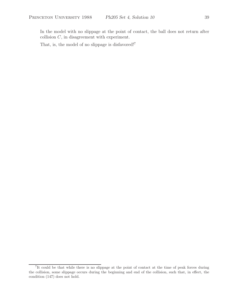In the model with no slippage at the point of contact, the ball does not return after collision C, in disagreement with experiment.

That, is, the model of no slippage is disfavored!<sup>7</sup>

<sup>&</sup>lt;sup>7</sup>It could be that while there is no slippage at the point of contact at the time of peak forces during the collision, some slippage occurs during the beginning and end of the collision, such that, in effect, the condition (147) does not hold.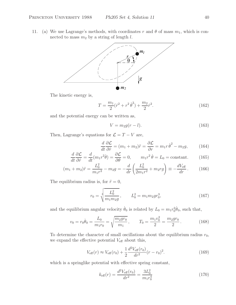11. (a) We use Lagrange's methods, with coordinates r and  $\theta$  of mass  $m_1$ , which is connected to mass  $m_2$  by a string of length  $l$ .



The kinetic energy is,

$$
T = \frac{m_1}{2}(\dot{r}^2 + r^2\dot{\theta}^2) + \frac{m_2}{2}\dot{r}^2.
$$
 (162)

and the potential energy can be written as,

$$
V = m_2 g(r - l). \tag{163}
$$

Then, Lagrange's equations for  $\mathcal{L} = T - V$  are,

$$
\frac{d}{dt}\frac{\partial \mathcal{L}}{\partial \dot{r}} = (m_1 + m_2)\ddot{r} = \frac{\partial \mathcal{L}}{\partial r} = m_1 r \dot{\theta}^2 - m_2 g,\qquad(164)
$$

$$
\frac{d}{dt}\frac{\partial \mathcal{L}}{\partial \dot{r}} = \frac{d}{dt}(m_1 r^2 \dot{\theta}) = \frac{\partial \mathcal{L}}{\partial \theta} = 0, \qquad m_1 r^2 \dot{\theta} = L_0 = \text{constant.} \tag{165}
$$

$$
(m_1 + m_2)\ddot{r} = \frac{L_0^2}{m_1 r^3} - m_2 g = -\frac{d}{dr} \left(\frac{L_0^2}{2m_1 r^2} + m_2 r g\right) \equiv -\frac{dV_{\text{eff}}}{dr} \,. \tag{166}
$$

The equilibrium radius is, for  $\ddot{r} = 0$ ,

$$
r_0 = \sqrt[3]{\frac{L_0^2}{m_1 m_2 g}}, \qquad L_0^2 = m_1 m_2 gr_0^3,
$$
 (167)

and the equilibrium angular velocity  $\dot{\theta}_0$  is related by  $L_0 = m_1 r_0^2 \dot{\theta}_0$ , such that,

$$
v_0 = r_0 \dot{\theta}_0 = \frac{L_0}{m_1 r_0} = \sqrt{\frac{m_2 gr_0}{m_1}}, \qquad T_0 = \frac{m_1 v_0^2}{2} = \frac{m_2 gr_0}{2}.
$$
 (168)

To determine the character of small oscillations about the equilibrium radius  $r_0$ , we expand the effective potential  $V_{\rm eff}$  about this,

$$
V_{\text{eff}}(r) \approx V_{\text{eff}}(r_0) + \frac{1}{2} \frac{d^2 V_{\text{eff}}(r_0)}{dr^2} (r - r_0)^2.
$$
 (169)

which is a springlike potential with effective spring constant,

$$
k_{\text{eff}}(r) = \frac{d^2 V_{\text{eff}}(r_0)}{dr^2} = \frac{3L_0^2}{m_1 r_0^4}
$$
\n(170)